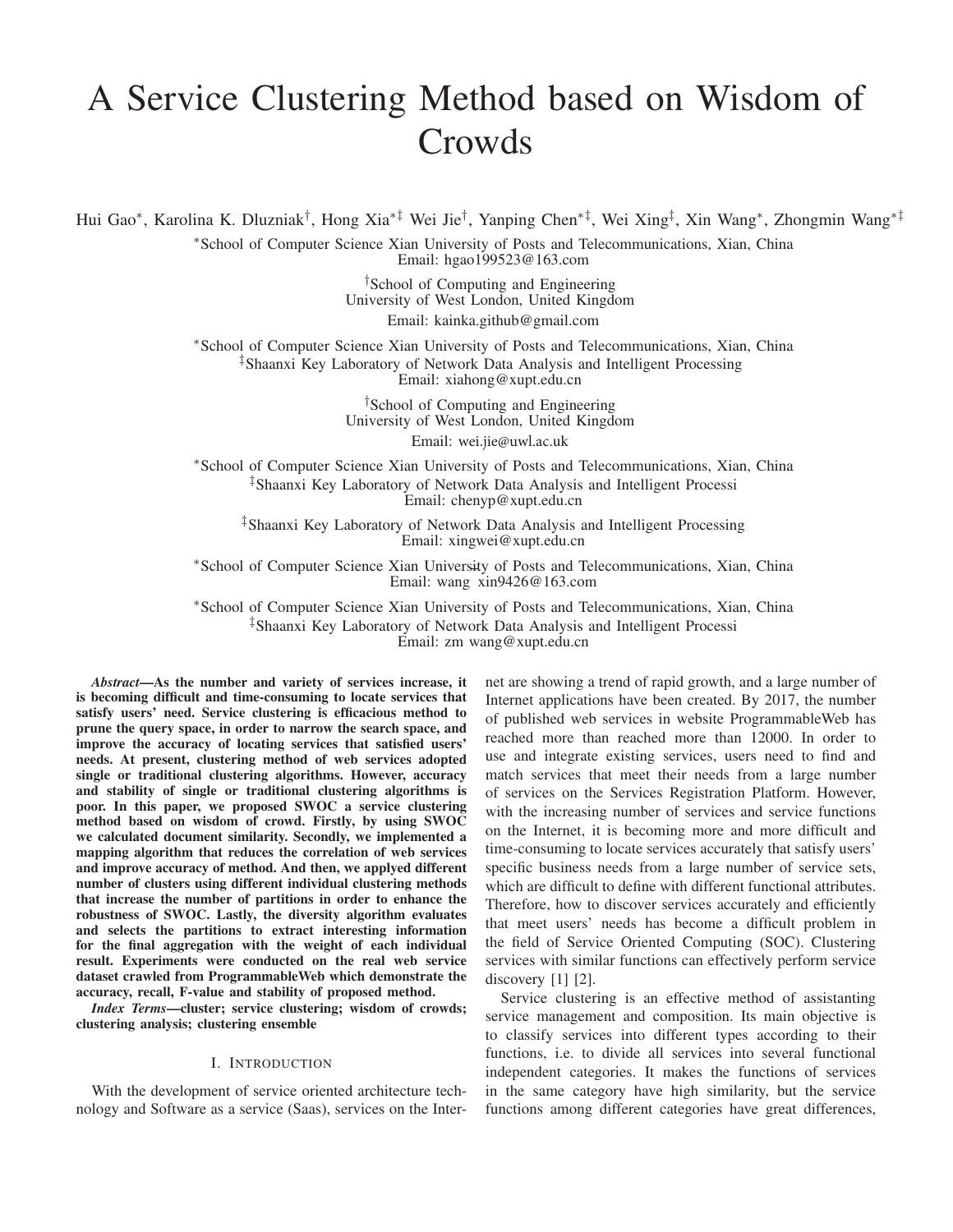# A Service Clustering Method based on Wisdom of Crowds

Hui Gao∗, Karolina K. Dluzniak†, Hong Xia∗‡ Wei Jie†, Yanping Chen∗‡, Wei Xing‡, Xin Wang∗, Zhongmin Wang∗‡

∗School of Computer Science Xian University of Posts and Telecommunications, Xian, China Email: hgao199523@163.com

> †School of Computing and Engineering University of West London, United Kingdom Email: kainka.github@gmail.com

∗School of Computer Science Xian University of Posts and Telecommunications, Xian, China ‡Shaanxi Key Laboratory of Network Data Analysis and Intelligent Processing Email: xiahong@xupt.edu.cn

> <sup>†</sup>School of Computing and Engineering University of West London, United Kingdom

Email: wei.jie@uwl.ac.uk

∗School of Computer Science Xian University of Posts and Telecommunications, Xian, China ‡Shaanxi Key Laboratory of Network Data Analysis and Intelligent Processi Email: chenyp@xupt.edu.cn

‡Shaanxi Key Laboratory of Network Data Analysis and Intelligent Processing Email: xingwei@xupt.edu.cn

∗School of Computer Science Xian University of Posts and Telecommunications, Xian, China Email: wang xin9426@163.com

∗School of Computer Science Xian University of Posts and Telecommunications, Xian, China ‡Shaanxi Key Laboratory of Network Data Analysis and Intelligent Processi Email: zm wang@xupt.edu.cn

*Abstract*—As the number and variety of services increase, it is becoming difficult and time-consuming to locate services that satisfy users' need. Service clustering is efficacious method to prune the query space, in order to narrow the search space, and improve the accuracy of locating services that satisfied users' needs. At present, clustering method of web services adopted single or traditional clustering algorithms. However, accuracy and stability of single or traditional clustering algorithms is poor. In this paper, we proposed SWOC a service clustering method based on wisdom of crowd. Firstly, by using SWOC we calculated document similarity. Secondly, we implemented a mapping algorithm that reduces the correlation of web services and improve accuracy of method. And then, we applyed different number of clusters using different individual clustering methods that increase the number of partitions in order to enhance the robustness of SWOC. Lastly, the diversity algorithm evaluates and selects the partitions to extract interesting information for the final aggregation with the weight of each individual result. Experiments were conducted on the real web service dataset crawled from ProgrammableWeb which demonstrate the accuracy, recall, F-value and stability of proposed method.

*Index Terms*—cluster; service clustering; wisdom of crowds; clustering analysis; clustering ensemble

## I. INTRODUCTION

With the development of service oriented architecture technology and Software as a service (Saas), services on the Internet are showing a trend of rapid growth, and a large number of Internet applications have been created. By 2017, the number of published web services in website ProgrammableWeb has reached more than reached more than 12000. In order to use and integrate existing services, users need to find and match services that meet their needs from a large number of services on the Services Registration Platform. However, with the increasing number of services and service functions on the Internet, it is becoming more and more difficult and time-consuming to locate services accurately that satisfy users' specific business needs from a large number of service sets, which are difficult to define with different functional attributes. Therefore, how to discover services accurately and efficiently that meet users' needs has become a difficult problem in the field of Service Oriented Computing (SOC). Clustering services with similar functions can effectively perform service discovery  $[1]$   $[2]$ .

Service clustering is an effective method of assistanting service management and composition. Its main objective is to classify services into different types according to their functions, i.e. to divide all services into several functional independent categories. It makes the functions of services in the same category have high similarity, but the service functions among different categories have great differences,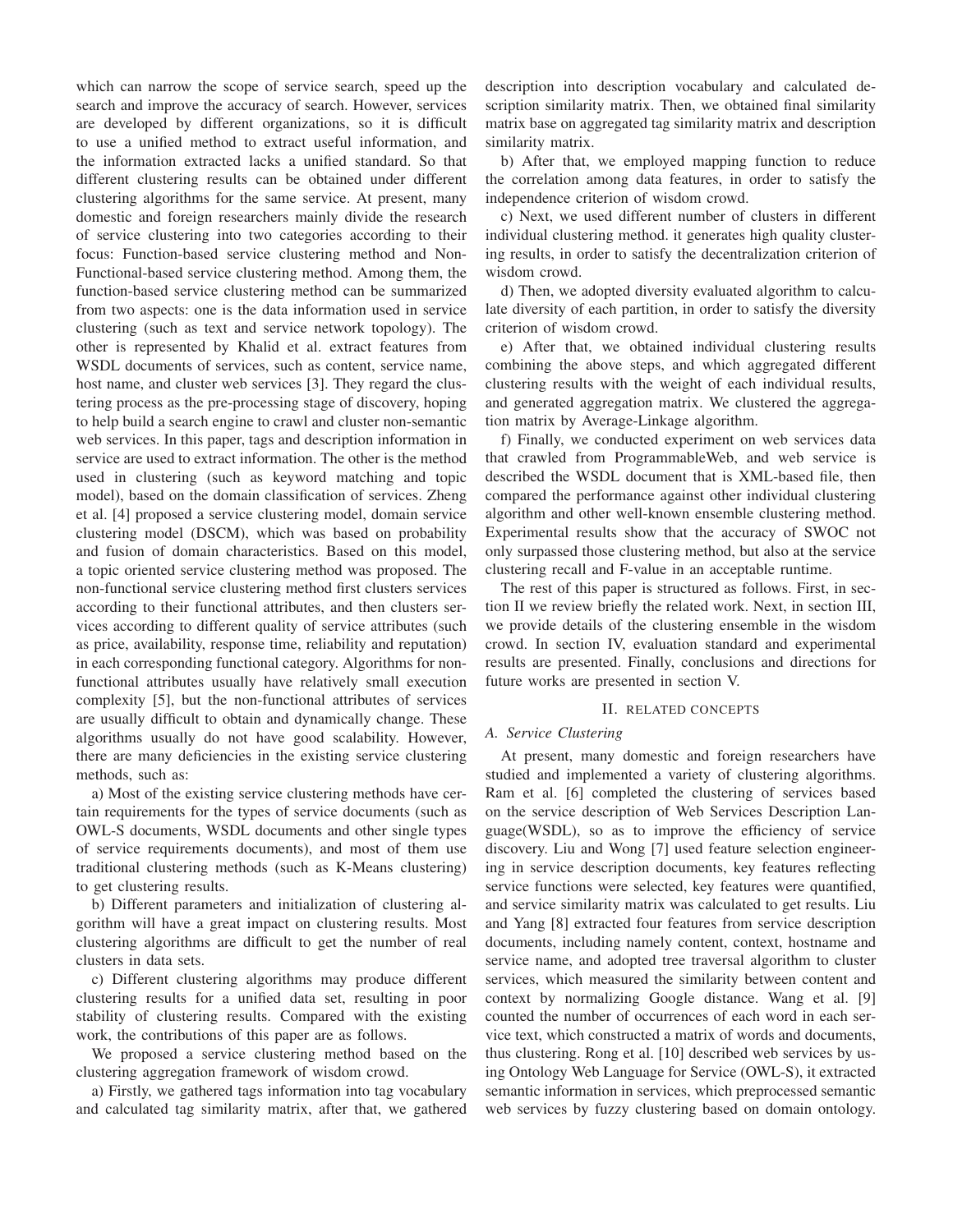which can narrow the scope of service search, speed up the search and improve the accuracy of search. However, services are developed by different organizations, so it is difficult to use a unified method to extract useful information, and the information extracted lacks a unified standard. So that different clustering results can be obtained under different clustering algorithms for the same service. At present, many domestic and foreign researchers mainly divide the research of service clustering into two categories according to their focus: Function-based service clustering method and Non-Functional-based service clustering method. Among them, the function-based service clustering method can be summarized from two aspects: one is the data information used in service clustering (such as text and service network topology). The other is represented by Khalid et al. extract features from WSDL documents of services, such as content, service name, host name, and cluster web services [3]. They regard the clustering process as the pre-processing stage of discovery, hoping to help build a search engine to crawl and cluster non-semantic web services. In this paper, tags and description information in service are used to extract information. The other is the method used in clustering (such as keyword matching and topic model), based on the domain classification of services. Zheng et al. [4] proposed a service clustering model, domain service clustering model (DSCM), which was based on probability and fusion of domain characteristics. Based on this model, a topic oriented service clustering method was proposed. The non-functional service clustering method first clusters services according to their functional attributes, and then clusters services according to different quality of service attributes (such as price, availability, response time, reliability and reputation) in each corresponding functional category. Algorithms for nonfunctional attributes usually have relatively small execution complexity [5], but the non-functional attributes of services are usually difficult to obtain and dynamically change. These algorithms usually do not have good scalability. However, there are many deficiencies in the existing service clustering methods, such as:

a) Most of the existing service clustering methods have certain requirements for the types of service documents (such as OWL-S documents, WSDL documents and other single types of service requirements documents), and most of them use traditional clustering methods (such as K-Means clustering) to get clustering results.

b) Different parameters and initialization of clustering algorithm will have a great impact on clustering results. Most clustering algorithms are difficult to get the number of real clusters in data sets.

c) Different clustering algorithms may produce different clustering results for a unified data set, resulting in poor stability of clustering results. Compared with the existing work, the contributions of this paper are as follows.

We proposed a service clustering method based on the clustering aggregation framework of wisdom crowd.

a) Firstly, we gathered tags information into tag vocabulary and calculated tag similarity matrix, after that, we gathered description into description vocabulary and calculated description similarity matrix. Then, we obtained final similarity matrix base on aggregated tag similarity matrix and description similarity matrix.

b) After that, we employed mapping function to reduce the correlation among data features, in order to satisfy the independence criterion of wisdom crowd.

c) Next, we used different number of clusters in different individual clustering method. it generates high quality clustering results, in order to satisfy the decentralization criterion of wisdom crowd.

d) Then, we adopted diversity evaluated algorithm to calculate diversity of each partition, in order to satisfy the diversity criterion of wisdom crowd.

e) After that, we obtained individual clustering results combining the above steps, and which aggregated different clustering results with the weight of each individual results, and generated aggregation matrix. We clustered the aggregation matrix by Average-Linkage algorithm.

f) Finally, we conducted experiment on web services data that crawled from ProgrammableWeb, and web service is described the WSDL document that is XML-based file, then compared the performance against other individual clustering algorithm and other well-known ensemble clustering method. Experimental results show that the accuracy of SWOC not only surpassed those clustering method, but also at the service clustering recall and F-value in an acceptable runtime.

The rest of this paper is structured as follows. First, in section II we review briefly the related work. Next, in section III, we provide details of the clustering ensemble in the wisdom crowd. In section IV, evaluation standard and experimental results are presented. Finally, conclusions and directions for future works are presented in section V.

#### II. RELATED CONCEPTS

## *A. Service Clustering*

At present, many domestic and foreign researchers have studied and implemented a variety of clustering algorithms. Ram et al. [6] completed the clustering of services based on the service description of Web Services Description Language(WSDL), so as to improve the efficiency of service discovery. Liu and Wong [7] used feature selection engineering in service description documents, key features reflecting service functions were selected, key features were quantified, and service similarity matrix was calculated to get results. Liu and Yang [8] extracted four features from service description documents, including namely content, context, hostname and service name, and adopted tree traversal algorithm to cluster services, which measured the similarity between content and context by normalizing Google distance. Wang et al. [9] counted the number of occurrences of each word in each service text, which constructed a matrix of words and documents, thus clustering. Rong et al. [10] described web services by using Ontology Web Language for Service (OWL-S), it extracted semantic information in services, which preprocessed semantic web services by fuzzy clustering based on domain ontology.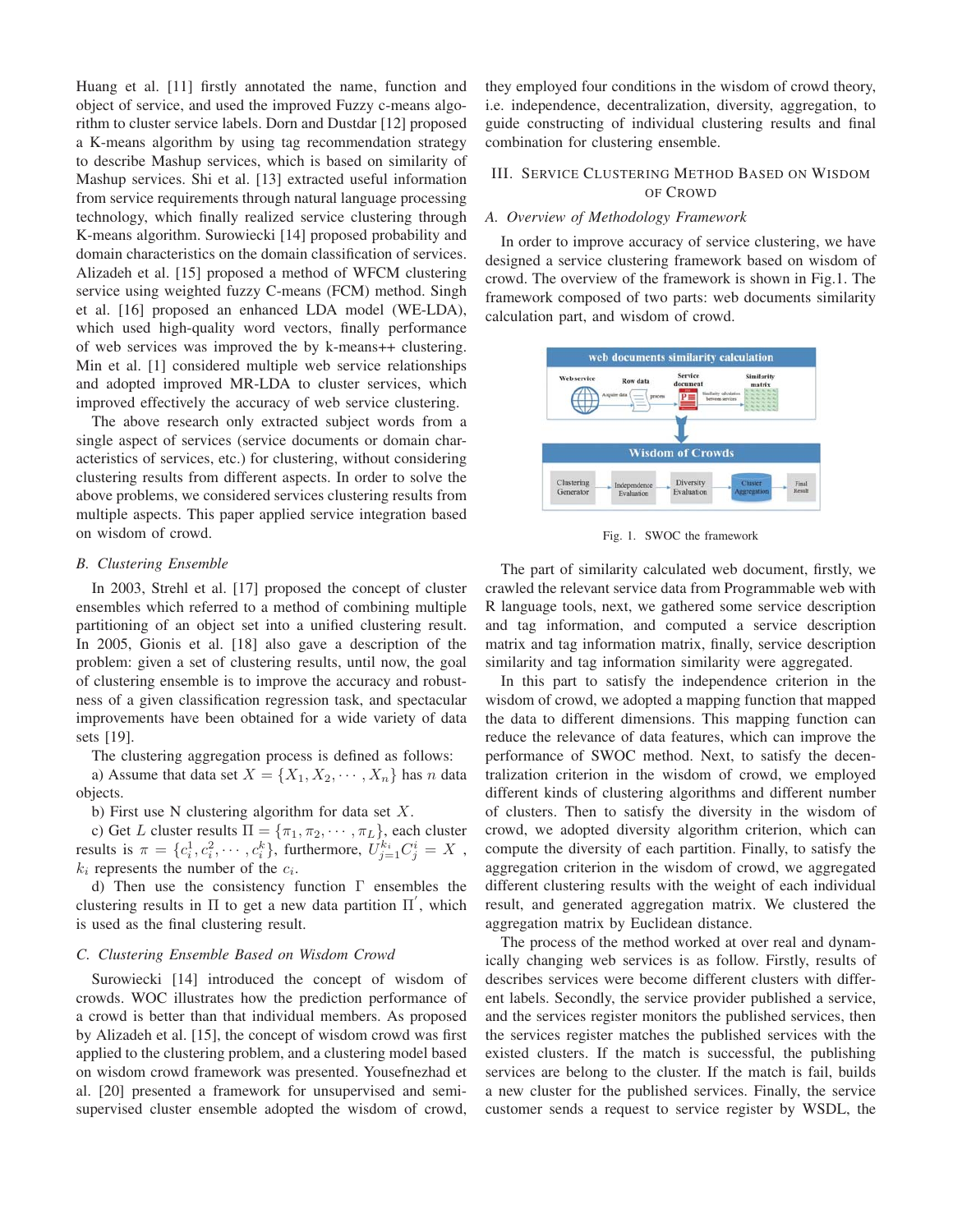Huang et al. [11] firstly annotated the name, function and object of service, and used the improved Fuzzy c-means algorithm to cluster service labels. Dorn and Dustdar [12] proposed a K-means algorithm by using tag recommendation strategy to describe Mashup services, which is based on similarity of Mashup services. Shi et al. [13] extracted useful information from service requirements through natural language processing technology, which finally realized service clustering through K-means algorithm. Surowiecki [14] proposed probability and domain characteristics on the domain classification of services. Alizadeh et al. [15] proposed a method of WFCM clustering service using weighted fuzzy C-means (FCM) method. Singh et al. [16] proposed an enhanced LDA model (WE-LDA), which used high-quality word vectors, finally performance of web services was improved the by k-means++ clustering. Min et al. [1] considered multiple web service relationships and adopted improved MR-LDA to cluster services, which improved effectively the accuracy of web service clustering.

The above research only extracted subject words from a single aspect of services (service documents or domain characteristics of services, etc.) for clustering, without considering clustering results from different aspects. In order to solve the above problems, we considered services clustering results from multiple aspects. This paper applied service integration based on wisdom of crowd.

## *B. Clustering Ensemble*

In 2003, Strehl et al. [17] proposed the concept of cluster ensembles which referred to a method of combining multiple partitioning of an object set into a unified clustering result. In 2005, Gionis et al. [18] also gave a description of the problem: given a set of clustering results, until now, the goal of clustering ensemble is to improve the accuracy and robustness of a given classification regression task, and spectacular improvements have been obtained for a wide variety of data sets [19].

The clustering aggregation process is defined as follows:

a) Assume that data set  $X = \{X_1, X_2, \dots, X_n\}$  has n data objects.

b) First use N clustering algorithm for data set  $X$ .

c) Get L cluster results  $\Pi = {\pi_1, \pi_2, \cdots, \pi_L}$ , each cluster<br>vulte is  $\pi = \int c^1 c^2 \cdots c^k$  furthermore  $U^{k_i}$   $C^i = X$ results is  $\pi = \{c_i^1, c_i^2, \cdots, c_i^k\}$ , furthermore,  $U_{j=1}^{k_i} C_j^i = X$ ,  $k_i$  represents the number of the  $c_i$ .  $k_i$  represents the number of the  $c_i$ .

d) Then use the consistency function Γ ensembles the clustering results in  $\Pi$  to get a new data partition  $\Pi'$ , which<br>is used as the final clustering result is used as the final clustering result.

#### *C. Clustering Ensemble Based on Wisdom Crowd*

Surowiecki [14] introduced the concept of wisdom of crowds. WOC illustrates how the prediction performance of a crowd is better than that individual members. As proposed by Alizadeh et al. [15], the concept of wisdom crowd was first applied to the clustering problem, and a clustering model based on wisdom crowd framework was presented. Yousefnezhad et al. [20] presented a framework for unsupervised and semisupervised cluster ensemble adopted the wisdom of crowd, they employed four conditions in the wisdom of crowd theory, i.e. independence, decentralization, diversity, aggregation, to guide constructing of individual clustering results and final combination for clustering ensemble.

# III. SERVICE CLUSTERING METHOD BASED ON WISDOM OF CROWD

## *A. Overview of Methodology Framework*

In order to improve accuracy of service clustering, we have designed a service clustering framework based on wisdom of crowd. The overview of the framework is shown in Fig.1. The framework composed of two parts: web documents similarity calculation part, and wisdom of crowd.



Fig. 1. SWOC the framework

The part of similarity calculated web document, firstly, we crawled the relevant service data from Programmable web with R language tools, next, we gathered some service description and tag information, and computed a service description matrix and tag information matrix, finally, service description similarity and tag information similarity were aggregated.

In this part to satisfy the independence criterion in the wisdom of crowd, we adopted a mapping function that mapped the data to different dimensions. This mapping function can reduce the relevance of data features, which can improve the performance of SWOC method. Next, to satisfy the decentralization criterion in the wisdom of crowd, we employed different kinds of clustering algorithms and different number of clusters. Then to satisfy the diversity in the wisdom of crowd, we adopted diversity algorithm criterion, which can compute the diversity of each partition. Finally, to satisfy the aggregation criterion in the wisdom of crowd, we aggregated different clustering results with the weight of each individual result, and generated aggregation matrix. We clustered the aggregation matrix by Euclidean distance.

The process of the method worked at over real and dynamically changing web services is as follow. Firstly, results of describes services were become different clusters with different labels. Secondly, the service provider published a service, and the services register monitors the published services, then the services register matches the published services with the existed clusters. If the match is successful, the publishing services are belong to the cluster. If the match is fail, builds a new cluster for the published services. Finally, the service customer sends a request to service register by WSDL, the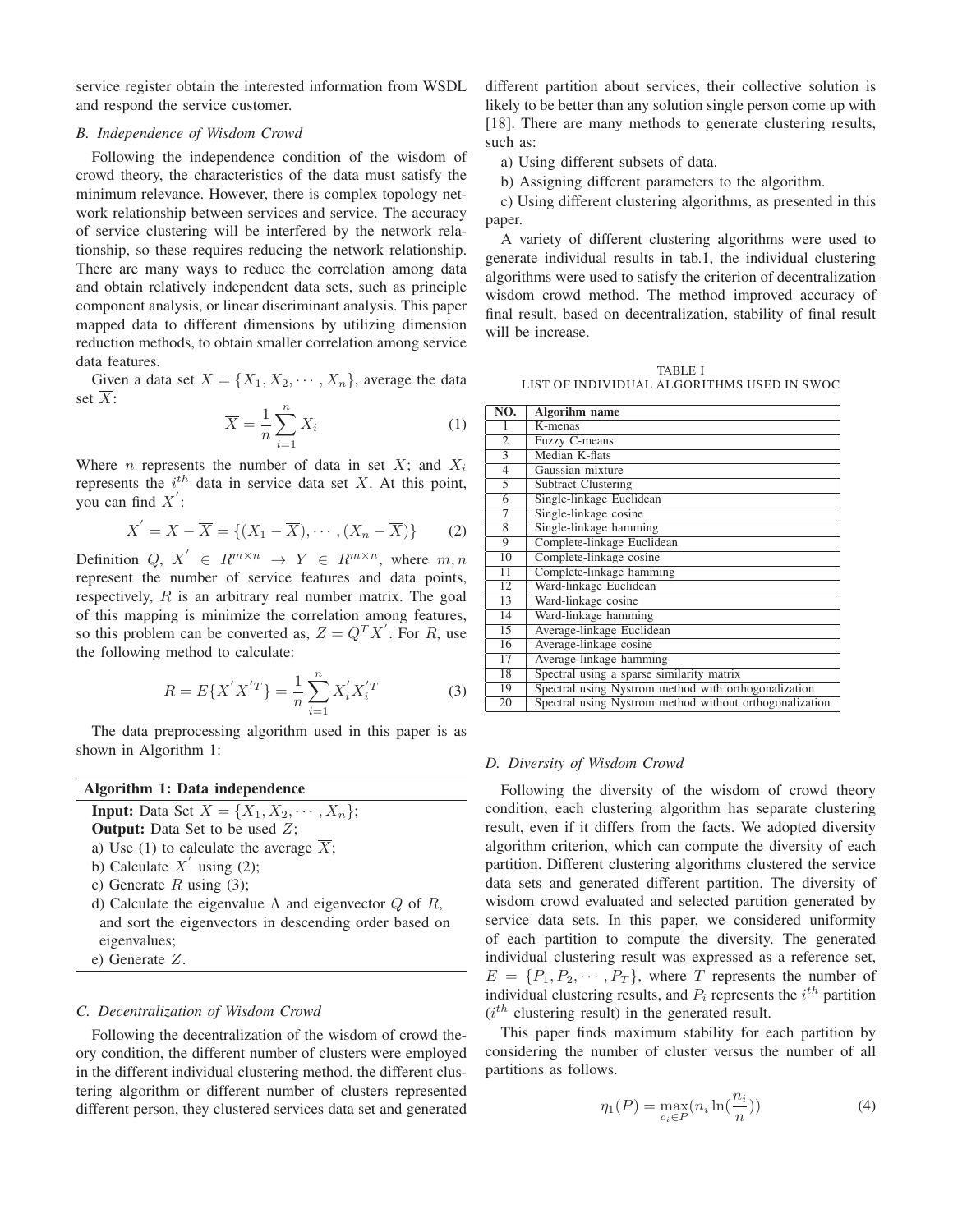service register obtain the interested information from WSDL and respond the service customer.

### *B. Independence of Wisdom Crowd*

Following the independence condition of the wisdom of crowd theory, the characteristics of the data must satisfy the minimum relevance. However, there is complex topology network relationship between services and service. The accuracy of service clustering will be interfered by the network relationship, so these requires reducing the network relationship. There are many ways to reduce the correlation among data and obtain relatively independent data sets, such as principle component analysis, or linear discriminant analysis. This paper mapped data to different dimensions by utilizing dimension reduction methods, to obtain smaller correlation among service data features.

Given a data set  $X = \{X_1, X_2, \dots, X_n\}$ , average the data set  $\overline{X}$ :

$$
\overline{X} = \frac{1}{n} \sum_{i=1}^{n} X_i
$$
 (1)

Where *n* represents the number of data in set *X*; and  $X_i$  represents the *i*<sup>th</sup> data in service date set *X*. At this point represents the  $i^{th}$  data in service data set X. At this point, you can find  $X'$ :

$$
X' = X - \overline{X} = \{(X_1 - \overline{X}), \cdots, (X_n - \overline{X})\}
$$
 (2)

Definition  $Q, X' \in R^{m \times n} \rightarrow Y \in R^{m \times n}$ , where  $m, n$ represent the number of service features and data points, respectively,  $R$  is an arbitrary real number matrix. The goal of this mapping is minimize the correlation among features, so this problem can be converted as,  $Z = Q^T X'$ . For R, use<br>the following method to calculate: the following method to calculate:

$$
R = E\{X'X'^T\} = \frac{1}{n}\sum_{i=1}^n X'_i X'^T_i \tag{3}
$$

The data preprocessing algorithm used in this paper is as shown in Algorithm 1:

Algorithm 1: Data independence

**Input:** Data Set  $X = \{X_1, X_2, \cdots, X_n\};$ **Output:** Data Set to be used  $Z$ ;

a) Use (1) to calculate the average  $\overline{X}$ ;

- b) Calculate  $X'$  using (2);
- c) Generate  $R$  using (3);
- d) Calculate the eigenvalue Λ and eigenvector  $Q$  of  $R$ , and sort the eigenvectors in descending order based on eigenvalues;
- e) Generate Z.

## *C. Decentralization of Wisdom Crowd*

Following the decentralization of the wisdom of crowd theory condition, the different number of clusters were employed in the different individual clustering method, the different clustering algorithm or different number of clusters represented different person, they clustered services data set and generated different partition about services, their collective solution is likely to be better than any solution single person come up with [18]. There are many methods to generate clustering results, such as:

a) Using different subsets of data.

b) Assigning different parameters to the algorithm.

c) Using different clustering algorithms, as presented in this paper.

A variety of different clustering algorithms were used to generate individual results in tab.1, the individual clustering algorithms were used to satisfy the criterion of decentralization wisdom crowd method. The method improved accuracy of final result, based on decentralization, stability of final result will be increase.

TABLE I LIST OF INDIVIDUAL ALGORITHMS USED IN SWOC

| NO.             | Algorihm name                                           |
|-----------------|---------------------------------------------------------|
| 1               | K-menas                                                 |
| $\overline{2}$  | Fuzzy C-means                                           |
| $\overline{3}$  | Median K-flats                                          |
| $\overline{4}$  | Gaussian mixture                                        |
| 5               | <b>Subtract Clustering</b>                              |
| $\overline{6}$  | Single-linkage Euclidean                                |
| 7               | Single-linkage cosine                                   |
| 8               | Single-linkage hamming                                  |
| 9               | Complete-linkage Euclidean                              |
| $\overline{10}$ | Complete-linkage cosine                                 |
| $\overline{11}$ | Complete-linkage hamming                                |
| $\overline{12}$ | Ward-linkage Euclidean                                  |
| 13              | Ward-linkage cosine                                     |
| 14              | Ward-linkage hamming                                    |
| 15              | Average-linkage Euclidean                               |
| 16              | Average-linkage cosine                                  |
| 17              | Average-linkage hamming                                 |
| 18              | Spectral using a sparse similarity matrix               |
| 19              | Spectral using Nystrom method with orthogonalization    |
| 20              | Spectral using Nystrom method without orthogonalization |

#### *D. Diversity of Wisdom Crowd*

Following the diversity of the wisdom of crowd theory condition, each clustering algorithm has separate clustering result, even if it differs from the facts. We adopted diversity algorithm criterion, which can compute the diversity of each partition. Different clustering algorithms clustered the service data sets and generated different partition. The diversity of wisdom crowd evaluated and selected partition generated by service data sets. In this paper, we considered uniformity of each partition to compute the diversity. The generated individual clustering result was expressed as a reference set,  $E = \{P_1, P_2, \dots, P_T\}$ , where T represents the number of individual clustering results, and  $P_i$  represents the  $i^{th}$  partition  $(i^{th})$  pluttering result) in the concentral result.  $(i<sup>th</sup>$  clustering result) in the generated result.

This paper finds maximum stability for each partition by considering the number of cluster versus the number of all partitions as follows.

$$
\eta_1(P) = \max_{c_i \in P} (n_i \ln(\frac{n_i}{n})) \tag{4}
$$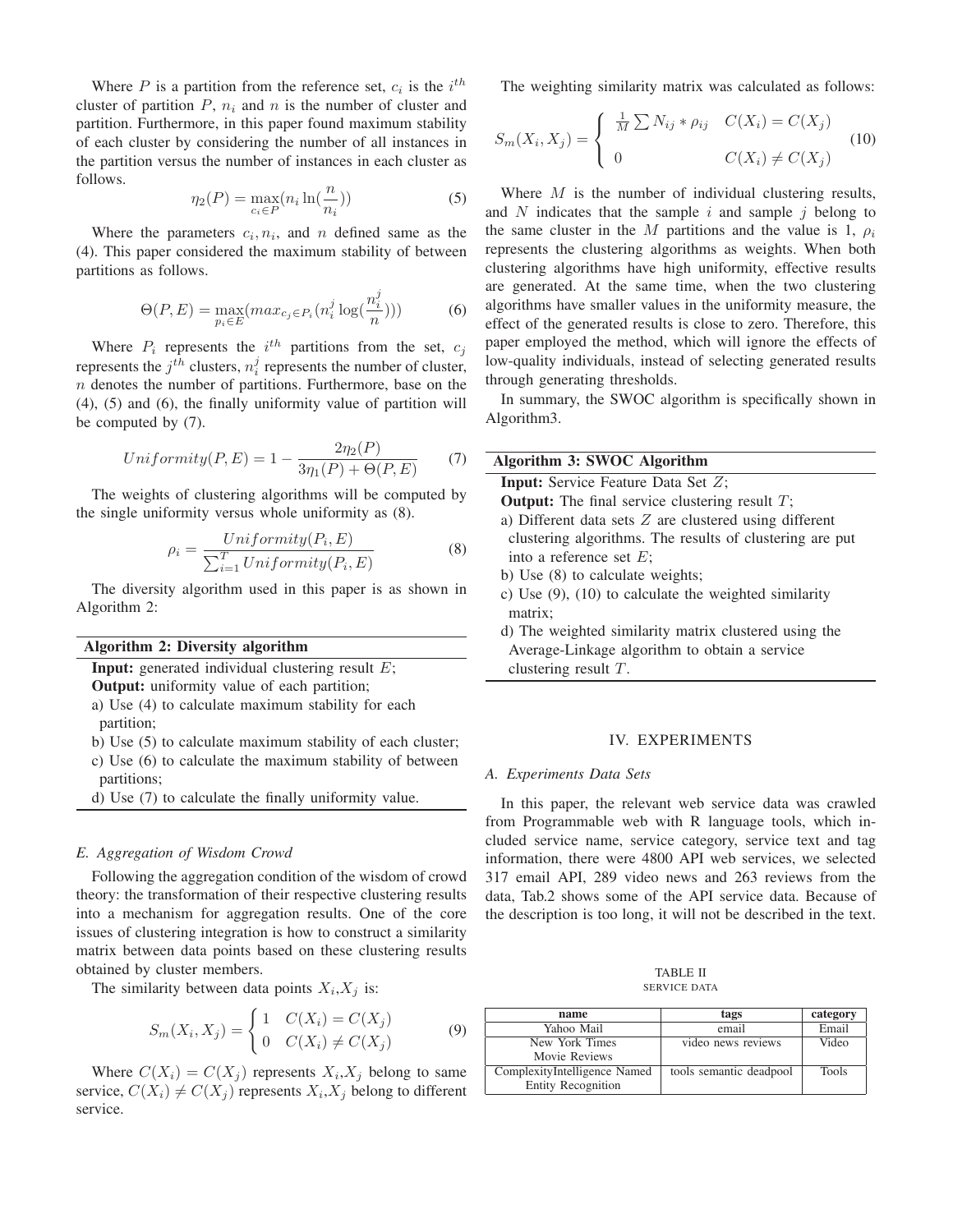Where P is a partition from the reference set,  $c_i$  is the  $i^{th}$ cluster of partition  $P$ ,  $n_i$  and n is the number of cluster and partition. Furthermore, in this paper found maximum stability of each cluster by considering the number of all instances in the partition versus the number of instances in each cluster as follows.

$$
\eta_2(P) = \max_{c_i \in P} (n_i \ln(\frac{n}{n_i})) \tag{5}
$$

Where the parameters  $c_i$ ,  $n_i$ , and n defined same as the (4). This paper considered the maximum stability of between partitions as follows.

$$
\Theta(P, E) = \max_{p_i \in E} (max_{c_j \in P_i} (n_i^j \log(\frac{n_i^j}{n}))) \tag{6}
$$

Where  $P_i$  represents the *i*<sup>th</sup> partitions from the set,  $c_j$ represents the  $j^{th}$  clusters,  $n_i^j$  represents the number of cluster,  $n_i$  denotes the number of partitions. Furthermore, has a on the  $n$  denotes the number of partitions. Furthermore, base on the (4), (5) and (6), the finally uniformity value of partition will be computed by (7).

$$
Uniformity(P, E) = 1 - \frac{2\eta_2(P)}{3\eta_1(P) + \Theta(P, E)}
$$
(7)

The weights of clustering algorithms will be computed by the single uniformity versus whole uniformity as (8).

$$
\rho_i = \frac{Uniformity(P_i, E)}{\sum_{i=1}^{T} Uniformity(P_i, E)}
$$
(8)

The diversity algorithm used in this paper is as shown in Algorithm 2:

## Algorithm 2: Diversity algorithm

**Input:** generated individual clustering result  $E$ ;

Output: uniformity value of each partition;

- a) Use (4) to calculate maximum stability for each partition;
- b) Use (5) to calculate maximum stability of each cluster;
- c) Use (6) to calculate the maximum stability of between partitions;
- d) Use (7) to calculate the finally uniformity value.

### *E. Aggregation of Wisdom Crowd*

Following the aggregation condition of the wisdom of crowd theory: the transformation of their respective clustering results into a mechanism for aggregation results. One of the core issues of clustering integration is how to construct a similarity matrix between data points based on these clustering results obtained by cluster members.

The similarity between data points  $X_i, X_j$  is:

$$
S_m(X_i, X_j) = \begin{cases} 1 & C(X_i) = C(X_j) \\ 0 & C(X_i) \neq C(X_j) \end{cases}
$$
(9)

Where  $C(X_i) = C(X_i)$  represents  $X_i, X_j$  belong to same service,  $C(X_i) \neq C(X_i)$  represents  $X_i, X_j$  belong to different service.

The weighting similarity matrix was calculated as follows:

$$
S_m(X_i, X_j) = \begin{cases} \frac{1}{M} \sum N_{ij} * \rho_{ij} & C(X_i) = C(X_j) \\ 0 & C(X_i) \neq C(X_j) \end{cases}
$$
(10)

Where  $M$  is the number of individual clustering results, and  $N$  indicates that the sample  $i$  and sample  $j$  belong to the same cluster in the M partitions and the value is 1,  $\rho_i$ represents the clustering algorithms as weights. When both clustering algorithms have high uniformity, effective results are generated. At the same time, when the two clustering algorithms have smaller values in the uniformity measure, the effect of the generated results is close to zero. Therefore, this paper employed the method, which will ignore the effects of low-quality individuals, instead of selecting generated results through generating thresholds.

In summary, the SWOC algorithm is specifically shown in Algorithm3.

- c) Use (9), (10) to calculate the weighted similarity matrix;
- d) The weighted similarity matrix clustered using the Average-Linkage algorithm to obtain a service clustering result T.

### IV. EXPERIMENTS

#### *A. Experiments Data Sets*

In this paper, the relevant web service data was crawled from Programmable web with R language tools, which included service name, service category, service text and tag information, there were 4800 API web services, we selected 317 email API, 289 video news and 263 reviews from the data, Tab.2 shows some of the API service data. Because of the description is too long, it will not be described in the text.

TABLE II SERVICE DATA

| name                         | tags                    | category     |
|------------------------------|-------------------------|--------------|
| Yahoo Mail                   | email                   | Email        |
| New York Times               | video news reviews      | Video        |
| Movie Reviews                |                         |              |
| ComplexityIntelligence Named | tools semantic deadpool | <b>Tools</b> |
| <b>Entity Recognition</b>    |                         |              |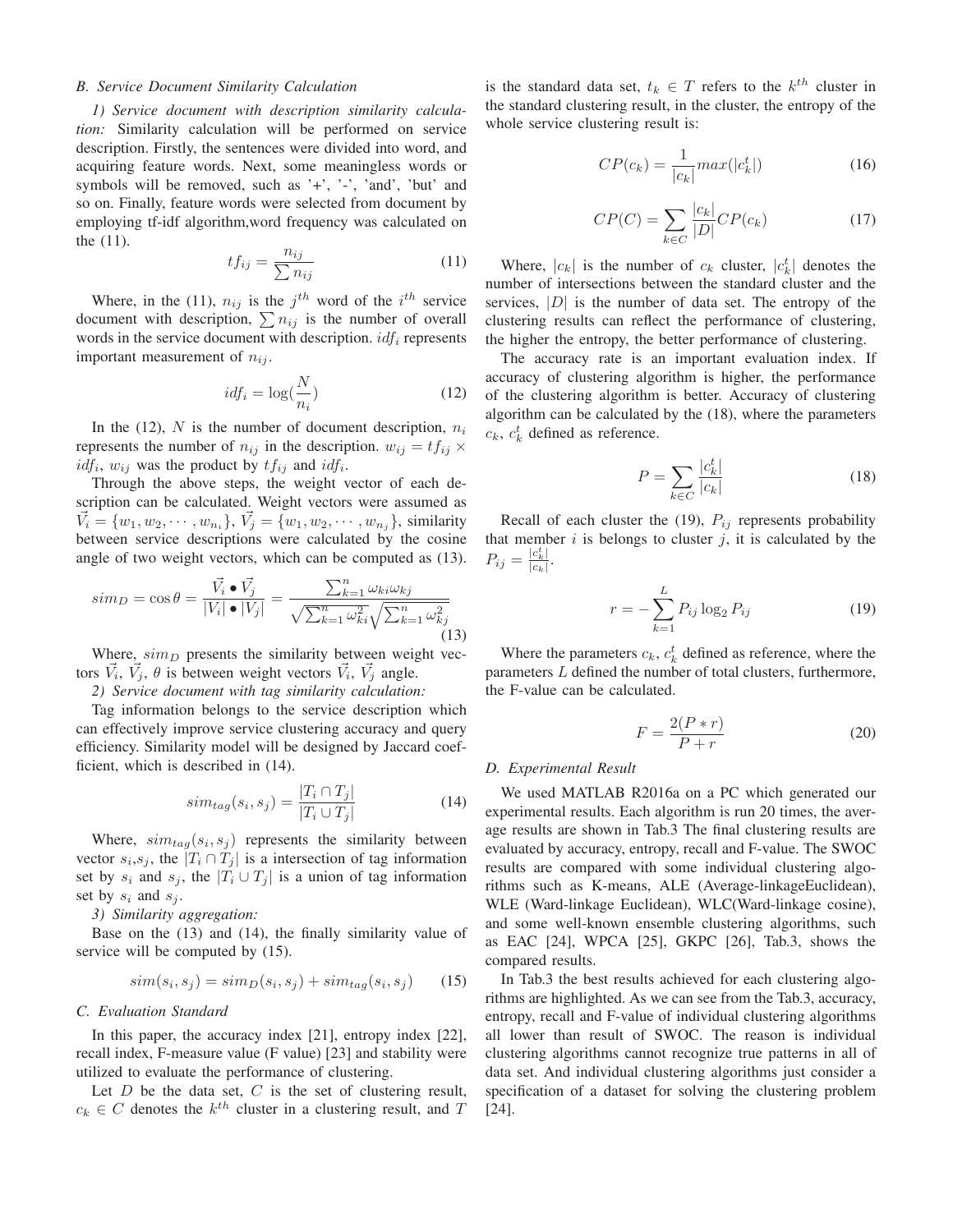## *B. Service Document Similarity Calculation*

*1) Service document with description similarity calculation:* Similarity calculation will be performed on service description. Firstly, the sentences were divided into word, and acquiring feature words. Next, some meaningless words or symbols will be removed, such as '+', '-', 'and', 'but' and so on. Finally, feature words were selected from document by employing tf-idf algorithm,word frequency was calculated on the (11). n

$$
tf_{ij} = \frac{n_{ij}}{\sum n_{ij}}\tag{11}
$$

Where, in the (11),  $n_{ij}$  is the j<sup>th</sup> word of the *i*<sup>th</sup> service document with description,  $\sum n_{ij}$  is the number of overall words in the service document with description.  $\mathrm{i} df_i$  represents important measurement of  $n_{ij}$ .

$$
idf_i = \log(\frac{N}{n_i})\tag{12}
$$

In the (12), N is the number of document description,  $n_i$ represents the number of  $n_{ij}$  in the description.  $w_{ij} = tf_{ij} \times$  $i df_i$ ,  $w_{ij}$  was the product by  $tf_{ij}$  and  $i df_i$ .<br>Theoret the chose stage the weight

Through the above steps, the weight vector of each description can be calculated. Weight vectors were assumed as  $\vec{V}_i = \{w_1, w_2, \cdots, w_{n_i}\}, \ \vec{V}_j = \{w_1, w_2, \cdots, w_{n_j}\},$  similarity<br>between service descriptions were calculated by the cosine between service descriptions were calculated by the cosine angle of two weight vectors, which can be computed as (13).

$$
sim_D = \cos \theta = \frac{\vec{V_i} \cdot \vec{V_j}}{|V_i| \cdot |V_j|} = \frac{\sum_{k=1}^n \omega_{ki} \omega_{kj}}{\sqrt{\sum_{k=1}^n \omega_{ki}^2} \sqrt{\sum_{k=1}^n \omega_{kj}^2}}
$$
\n(13)

Where,  $sim_D$  presents the similarity between weight vectors  $V_i$ ,  $V_j$ ,  $\theta$  is between weight vectors  $V_i$ ,  $V_j$  angle.

*2) Service document with tag similarity calculation:*

Tag information belongs to the service description which can effectively improve service clustering accuracy and query efficiency. Similarity model will be designed by Jaccard coefficient, which is described in (14).

$$
sim_{tag}(s_i, s_j) = \frac{|T_i \cap T_j|}{|T_i \cup T_j|}
$$
\n(14)

Where,  $sim_{tag}(s_i, s_j)$  represents the similarity between vector  $s_i, s_j$ , the  $|T_i \cap T_j|$  is a intersection of tag information set by  $s_i$  and  $s_j$ , the  $|T_i \cup T_j|$  is a union of tag information set by  $s_i$  and  $s_j$ .

*3) Similarity aggregation:*

Base on the (13) and (14), the finally similarity value of service will be computed by (15).

$$
sim(s_i, s_j) = sim_D(s_i, s_j) + sim_{tag}(s_i, s_j)
$$
 (15)

## *C. Evaluation Standard*

In this paper, the accuracy index [21], entropy index [22], recall index, F-measure value (F value) [23] and stability were utilized to evaluate the performance of clustering.

Let  $D$  be the data set,  $C$  is the set of clustering result,  $c_k \in C$  denotes the  $k^{th}$  cluster in a clustering result, and T

is the standard data set,  $t_k \in T$  refers to the  $k^{th}$  cluster in the standard clustering result, in the cluster, the entropy of the whole service clustering result is:

$$
CP(c_k) = \frac{1}{|c_k|} max(|c_k^t|)
$$
\n(16)

$$
CP(C) = \sum_{k \in C} \frac{|c_k|}{|D|} CP(c_k)
$$
\n(17)

Where,  $|c_k|$  is the number of  $c_k$  cluster,  $|c_k^t|$  denotes the standard cluster and the number of intersections between the standard cluster and the services,  $|D|$  is the number of data set. The entropy of the clustering results can reflect the performance of clustering, the higher the entropy, the better performance of clustering.

The accuracy rate is an important evaluation index. If accuracy of clustering algorithm is higher, the performance of the clustering algorithm is better. Accuracy of clustering algorithm can be calculated by the (18), where the parameters  $c_k$ ,  $c_k^t$  defined as reference.

$$
P = \sum_{k \in C} \frac{|c_k^t|}{|c_k|} \tag{18}
$$

Recall of each cluster the (19),  $P_{ij}$  represents probability that member  $i$  is belongs to cluster  $j$ , it is calculated by the  $P_{ij} = \frac{|c_k^t|}{|c_k|}.$ 

$$
r = -\sum_{k=1}^{L} P_{ij} \log_2 P_{ij}
$$
 (19)

Where the parameters  $c_k$ ,  $c_k^t$  defined as reference, where the rameters L defined the number of total clusters, furthermore parameters L defined the number of total clusters, furthermore, the F-value can be calculated.

$$
F = \frac{2(P*r)}{P+r}
$$
 (20)

## *D. Experimental Result*

We used MATLAB R2016a on a PC which generated our experimental results. Each algorithm is run 20 times, the average results are shown in Tab.3 The final clustering results are evaluated by accuracy, entropy, recall and F-value. The SWOC results are compared with some individual clustering algorithms such as K-means, ALE (Average-linkageEuclidean), WLE (Ward-linkage Euclidean), WLC(Ward-linkage cosine), and some well-known ensemble clustering algorithms, such as EAC [24], WPCA [25], GKPC [26], Tab.3, shows the compared results.

In Tab.3 the best results achieved for each clustering algorithms are highlighted. As we can see from the Tab.3, accuracy, entropy, recall and F-value of individual clustering algorithms all lower than result of SWOC. The reason is individual clustering algorithms cannot recognize true patterns in all of data set. And individual clustering algorithms just consider a specification of a dataset for solving the clustering problem [24].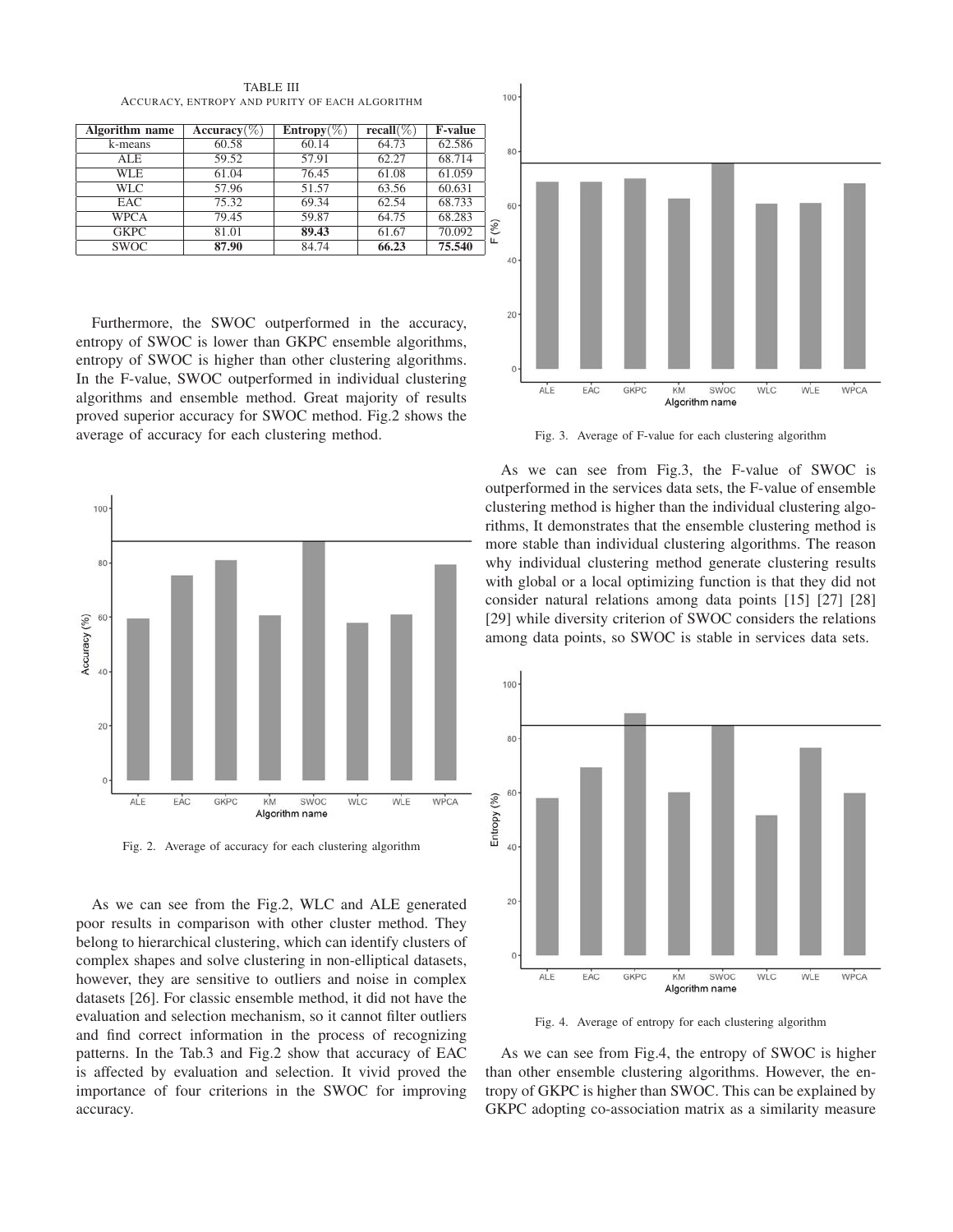| Algorithm name | Accuracy $(\%)$ | $Entropy(\%)$ | recall $(\%)$ | <b>F-value</b> |
|----------------|-----------------|---------------|---------------|----------------|
| k-means        | 60.58           | 60.14         | 64.73         | 62.586         |
| ALE.           | 59.52           | 57.91         | 62.27         | 68.714         |
| WLE            | 61.04           | 76.45         | 61.08         | 61.059         |
| WLC.           | 57.96           | 51.57         | 63.56         | 60.631         |
| <b>EAC</b>     | 75.32           | 69.34         | 62.54         | 68.733         |
| <b>WPCA</b>    | 79.45           | 59.87         | 64.75         | 68.283         |
| <b>GKPC</b>    | 81.01           | 89.43         | 61.67         | 70.092         |
| <b>SWOC</b>    | 87.90           | 84.74         | 66.23         | 75.540         |

TABLE III ACCURACY, ENTROPY AND PURITY OF EACH ALGORITHM

Furthermore, the SWOC outperformed in the accuracy, entropy of SWOC is lower than GKPC ensemble algorithms, entropy of SWOC is higher than other clustering algorithms. In the F-value, SWOC outperformed in individual clustering algorithms and ensemble method. Great majority of results proved superior accuracy for SWOC method. Fig.2 shows the average of accuracy for each clustering method.



Fig. 2. Average of accuracy for each clustering algorithm

As we can see from the Fig.2, WLC and ALE generated poor results in comparison with other cluster method. They belong to hierarchical clustering, which can identify clusters of complex shapes and solve clustering in non-elliptical datasets, however, they are sensitive to outliers and noise in complex datasets [26]. For classic ensemble method, it did not have the evaluation and selection mechanism, so it cannot filter outliers and find correct information in the process of recognizing patterns. In the Tab.3 and Fig.2 show that accuracy of EAC is affected by evaluation and selection. It vivid proved the importance of four criterions in the SWOC for improving accuracy.



Fig. 3. Average of F-value for each clustering algorithm

As we can see from Fig.3, the F-value of SWOC is outperformed in the services data sets, the F-value of ensemble clustering method is higher than the individual clustering algorithms, It demonstrates that the ensemble clustering method is more stable than individual clustering algorithms. The reason why individual clustering method generate clustering results with global or a local optimizing function is that they did not consider natural relations among data points [15] [27] [28] [29] while diversity criterion of SWOC considers the relations among data points, so SWOC is stable in services data sets.



Fig. 4. Average of entropy for each clustering algorithm

As we can see from Fig.4, the entropy of SWOC is higher than other ensemble clustering algorithms. However, the entropy of GKPC is higher than SWOC. This can be explained by GKPC adopting co-association matrix as a similarity measure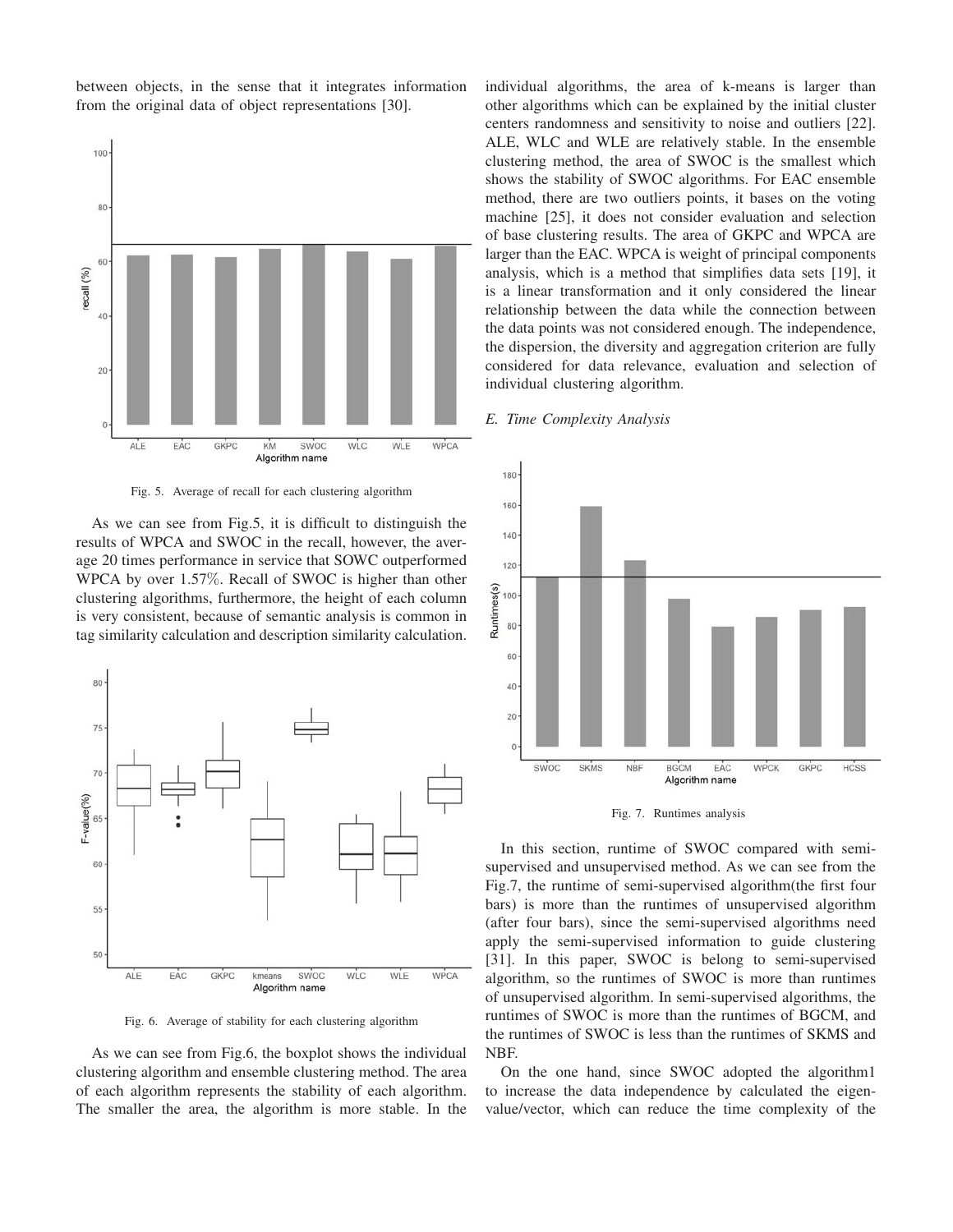between objects, in the sense that it integrates information from the original data of object representations [30].



Fig. 5. Average of recall for each clustering algorithm

As we can see from Fig.5, it is difficult to distinguish the results of WPCA and SWOC in the recall, however, the average 20 times performance in service that SOWC outperformed WPCA by over 1.57%. Recall of SWOC is higher than other clustering algorithms, furthermore, the height of each column is very consistent, because of semantic analysis is common in tag similarity calculation and description similarity calculation.



Fig. 6. Average of stability for each clustering algorithm

As we can see from Fig.6, the boxplot shows the individual clustering algorithm and ensemble clustering method. The area of each algorithm represents the stability of each algorithm. The smaller the area, the algorithm is more stable. In the individual algorithms, the area of k-means is larger than other algorithms which can be explained by the initial cluster centers randomness and sensitivity to noise and outliers [22]. ALE, WLC and WLE are relatively stable. In the ensemble clustering method, the area of SWOC is the smallest which shows the stability of SWOC algorithms. For EAC ensemble method, there are two outliers points, it bases on the voting machine [25], it does not consider evaluation and selection of base clustering results. The area of GKPC and WPCA are larger than the EAC. WPCA is weight of principal components analysis, which is a method that simplifies data sets [19], it is a linear transformation and it only considered the linear relationship between the data while the connection between the data points was not considered enough. The independence, the dispersion, the diversity and aggregation criterion are fully considered for data relevance, evaluation and selection of individual clustering algorithm.

## *E. Time Complexity Analysis*



Fig. 7. Runtimes analysis

In this section, runtime of SWOC compared with semisupervised and unsupervised method. As we can see from the Fig.7, the runtime of semi-supervised algorithm(the first four bars) is more than the runtimes of unsupervised algorithm (after four bars), since the semi-supervised algorithms need apply the semi-supervised information to guide clustering [31]. In this paper, SWOC is belong to semi-supervised algorithm, so the runtimes of SWOC is more than runtimes of unsupervised algorithm. In semi-supervised algorithms, the runtimes of SWOC is more than the runtimes of BGCM, and the runtimes of SWOC is less than the runtimes of SKMS and NBF.

On the one hand, since SWOC adopted the algorithm1 to increase the data independence by calculated the eigenvalue/vector, which can reduce the time complexity of the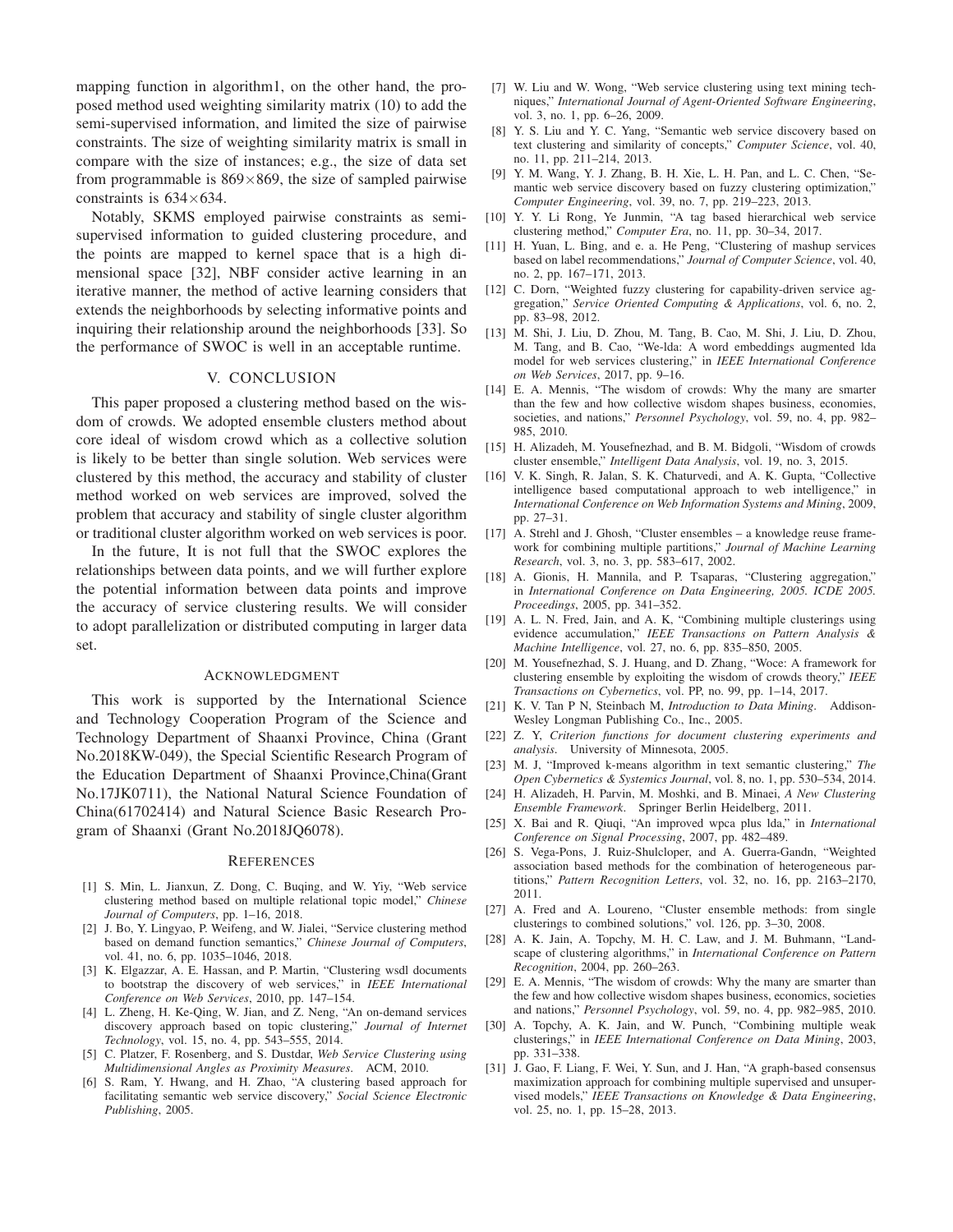mapping function in algorithm1, on the other hand, the proposed method used weighting similarity matrix (10) to add the semi-supervised information, and limited the size of pairwise constraints. The size of weighting similarity matrix is small in compare with the size of instances; e.g., the size of data set from programmable is  $869\times869$ , the size of sampled pairwise constraints is  $634\times634$ .

Notably, SKMS employed pairwise constraints as semisupervised information to guided clustering procedure, and the points are mapped to kernel space that is a high dimensional space [32], NBF consider active learning in an iterative manner, the method of active learning considers that extends the neighborhoods by selecting informative points and inquiring their relationship around the neighborhoods [33]. So the performance of SWOC is well in an acceptable runtime.

## V. CONCLUSION

This paper proposed a clustering method based on the wisdom of crowds. We adopted ensemble clusters method about core ideal of wisdom crowd which as a collective solution is likely to be better than single solution. Web services were clustered by this method, the accuracy and stability of cluster method worked on web services are improved, solved the problem that accuracy and stability of single cluster algorithm or traditional cluster algorithm worked on web services is poor.

In the future, It is not full that the SWOC explores the relationships between data points, and we will further explore the potential information between data points and improve the accuracy of service clustering results. We will consider to adopt parallelization or distributed computing in larger data set.

#### ACKNOWLEDGMENT

This work is supported by the International Science and Technology Cooperation Program of the Science and Technology Department of Shaanxi Province, China (Grant No.2018KW-049), the Special Scientific Research Program of the Education Department of Shaanxi Province,China(Grant No.17JK0711), the National Natural Science Foundation of China(61702414) and Natural Science Basic Research Program of Shaanxi (Grant No.2018JQ6078).

#### **REFERENCES**

- [1] S. Min, L. Jianxun, Z. Dong, C. Buqing, and W. Yiy, "Web service clustering method based on multiple relational topic model," *Chinese Journal of Computers*, pp. 1–16, 2018.
- [2] J. Bo, Y. Lingyao, P. Weifeng, and W. Jialei, "Service clustering method based on demand function semantics," *Chinese Journal of Computers*, vol. 41, no. 6, pp. 1035–1046, 2018.
- [3] K. Elgazzar, A. E. Hassan, and P. Martin, "Clustering wsdl documents to bootstrap the discovery of web services," in *IEEE International Conference on Web Services*, 2010, pp. 147–154.
- [4] L. Zheng, H. Ke-Qing, W. Jian, and Z. Neng, "An on-demand services discovery approach based on topic clustering," *Journal of Internet Technology*, vol. 15, no. 4, pp. 543–555, 2014.
- [5] C. Platzer, F. Rosenberg, and S. Dustdar, *Web Service Clustering using Multidimensional Angles as Proximity Measures*. ACM, 2010.
- [6] S. Ram, Y. Hwang, and H. Zhao, "A clustering based approach for facilitating semantic web service discovery," *Social Science Electronic Publishing*, 2005.
- [7] W. Liu and W. Wong, "Web service clustering using text mining techniques," *International Journal of Agent-Oriented Software Engineering*, vol. 3, no. 1, pp. 6–26, 2009.
- [8] Y. S. Liu and Y. C. Yang, "Semantic web service discovery based on text clustering and similarity of concepts," *Computer Science*, vol. 40, no. 11, pp. 211–214, 2013.
- [9] Y. M. Wang, Y. J. Zhang, B. H. Xie, L. H. Pan, and L. C. Chen, "Semantic web service discovery based on fuzzy clustering optimization," *Computer Engineering*, vol. 39, no. 7, pp. 219–223, 2013.
- [10] Y. Y. Li Rong, Ye Junmin, "A tag based hierarchical web service clustering method," *Computer Era*, no. 11, pp. 30–34, 2017.
- [11] H. Yuan, L. Bing, and e. a. He Peng, "Clustering of mashup services based on label recommendations," *Journal of Computer Science*, vol. 40, no. 2, pp. 167–171, 2013.
- [12] C. Dorn, "Weighted fuzzy clustering for capability-driven service aggregation," *Service Oriented Computing & Applications*, vol. 6, no. 2, pp. 83–98, 2012.
- [13] M. Shi, J. Liu, D. Zhou, M. Tang, B. Cao, M. Shi, J. Liu, D. Zhou, M. Tang, and B. Cao, "We-lda: A word embeddings augmented lda model for web services clustering," in *IEEE International Conference on Web Services*, 2017, pp. 9–16.
- [14] E. A. Mennis, "The wisdom of crowds: Why the many are smarter than the few and how collective wisdom shapes business, economies, societies, and nations," *Personnel Psychology*, vol. 59, no. 4, pp. 982– 985, 2010.
- [15] H. Alizadeh, M. Yousefnezhad, and B. M. Bidgoli, "Wisdom of crowds cluster ensemble," *Intelligent Data Analysis*, vol. 19, no. 3, 2015.
- [16] V. K. Singh, R. Jalan, S. K. Chaturvedi, and A. K. Gupta, "Collective intelligence based computational approach to web intelligence," in *International Conference on Web Information Systems and Mining*, 2009, pp. 27–31.
- [17] A. Strehl and J. Ghosh, "Cluster ensembles a knowledge reuse framework for combining multiple partitions," *Journal of Machine Learning Research*, vol. 3, no. 3, pp. 583–617, 2002.
- [18] A. Gionis, H. Mannila, and P. Tsaparas, "Clustering aggregation," in *International Conference on Data Engineering, 2005. ICDE 2005. Proceedings*, 2005, pp. 341–352.
- [19] A. L. N. Fred, Jain, and A. K, "Combining multiple clusterings using evidence accumulation," *IEEE Transactions on Pattern Analysis & Machine Intelligence*, vol. 27, no. 6, pp. 835–850, 2005.
- [20] M. Yousefnezhad, S. J. Huang, and D. Zhang, "Woce: A framework for clustering ensemble by exploiting the wisdom of crowds theory," *IEEE Transactions on Cybernetics*, vol. PP, no. 99, pp. 1–14, 2017.
- [21] K. V. Tan P N, Steinbach M, *Introduction to Data Mining*. Addison-Wesley Longman Publishing Co., Inc., 2005.
- [22] Z. Y, *Criterion functions for document clustering experiments and analysis*. University of Minnesota, 2005.
- [23] M. J, "Improved k-means algorithm in text semantic clustering," *The Open Cybernetics & Systemics Journal*, vol. 8, no. 1, pp. 530–534, 2014.
- [24] H. Alizadeh, H. Parvin, M. Moshki, and B. Minaei, *A New Clustering Ensemble Framework*. Springer Berlin Heidelberg, 2011.
- [25] X. Bai and R. Qiuqi, "An improved wpca plus lda," in *International Conference on Signal Processing*, 2007, pp. 482–489.
- [26] S. Vega-Pons, J. Ruiz-Shulcloper, and A. Guerra-Gandn, "Weighted association based methods for the combination of heterogeneous partitions," *Pattern Recognition Letters*, vol. 32, no. 16, pp. 2163–2170, 2011.
- [27] A. Fred and A. Loureno, "Cluster ensemble methods: from single clusterings to combined solutions," vol. 126, pp. 3–30, 2008.
- [28] A. K. Jain, A. Topchy, M. H. C. Law, and J. M. Buhmann, "Landscape of clustering algorithms," in *International Conference on Pattern Recognition*, 2004, pp. 260–263.
- [29] E. A. Mennis, "The wisdom of crowds: Why the many are smarter than the few and how collective wisdom shapes business, economics, societies and nations," *Personnel Psychology*, vol. 59, no. 4, pp. 982–985, 2010.
- [30] A. Topchy, A. K. Jain, and W. Punch, "Combining multiple weak clusterings," in *IEEE International Conference on Data Mining*, 2003, pp. 331–338.
- [31] J. Gao, F. Liang, F. Wei, Y. Sun, and J. Han, "A graph-based consensus maximization approach for combining multiple supervised and unsupervised models," *IEEE Transactions on Knowledge & Data Engineering*, vol. 25, no. 1, pp. 15–28, 2013.